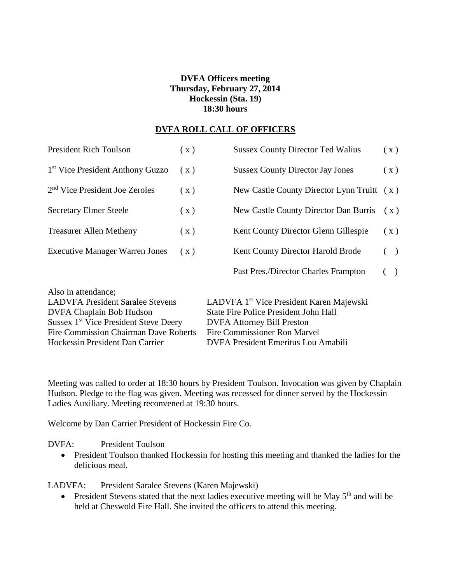# **DVFA Officers meeting Thursday, February 27, 2014 Hockessin (Sta. 19) 18:30 hours**

### **DVFA ROLL CALL OF OFFICERS**

| <b>President Rich Toulson</b>                                                                                                                                                                          | (x) | <b>Sussex County Director Ted Walius</b>                                                                                                                                         | (x)   |
|--------------------------------------------------------------------------------------------------------------------------------------------------------------------------------------------------------|-----|----------------------------------------------------------------------------------------------------------------------------------------------------------------------------------|-------|
| 1 <sup>st</sup> Vice President Anthony Guzzo                                                                                                                                                           | (x) | <b>Sussex County Director Jay Jones</b>                                                                                                                                          | (x)   |
| 2 <sup>nd</sup> Vice President Joe Zeroles                                                                                                                                                             | (x) | New Castle County Director Lynn Truitt (x)                                                                                                                                       |       |
| <b>Secretary Elmer Steele</b>                                                                                                                                                                          | (x) | New Castle County Director Dan Burris                                                                                                                                            | (x)   |
| <b>Treasurer Allen Metheny</b>                                                                                                                                                                         | (x) | Kent County Director Glenn Gillespie                                                                                                                                             | (x)   |
| <b>Executive Manager Warren Jones</b>                                                                                                                                                                  | (x) | Kent County Director Harold Brode                                                                                                                                                | ( )   |
|                                                                                                                                                                                                        |     | Past Pres./Director Charles Frampton                                                                                                                                             | $($ ) |
| Also in attendance;<br><b>LADVFA President Saralee Stevens</b><br><b>DVFA Chaplain Bob Hudson</b><br>Sussex 1 <sup>st</sup> Vice President Steve Deery<br><b>Fire Commission Chairman Dave Roberts</b> |     | LADVFA 1 <sup>st</sup> Vice President Karen Majewski<br><b>State Fire Police President John Hall</b><br><b>DVFA Attorney Bill Preston</b><br><b>Fire Commissioner Ron Marvel</b> |       |
| Hockessin President Dan Carrier                                                                                                                                                                        |     | DVFA President Emeritus Lou Amabili                                                                                                                                              |       |

Meeting was called to order at 18:30 hours by President Toulson. Invocation was given by Chaplain Hudson. Pledge to the flag was given. Meeting was recessed for dinner served by the Hockessin Ladies Auxiliary. Meeting reconvened at 19:30 hours.

Welcome by Dan Carrier President of Hockessin Fire Co.

DVFA: President Toulson

• President Toulson thanked Hockessin for hosting this meeting and thanked the ladies for the delicious meal.

LADVFA: President Saralee Stevens (Karen Majewski)

• President Stevens stated that the next ladies executive meeting will be May  $5<sup>th</sup>$  and will be held at Cheswold Fire Hall. She invited the officers to attend this meeting.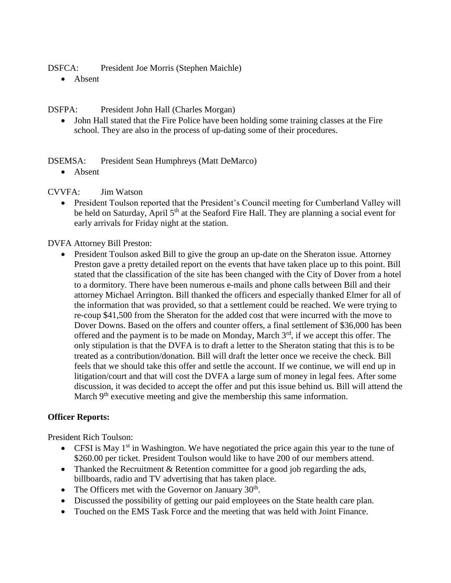DSFCA: President Joe Morris (Stephen Maichle)

• Absent

DSFPA: President John Hall (Charles Morgan)

 John Hall stated that the Fire Police have been holding some training classes at the Fire school. They are also in the process of up-dating some of their procedures.

## DSEMSA: President Sean Humphreys (Matt DeMarco)

• Absent

CVVFA: Jim Watson

• President Toulson reported that the President's Council meeting for Cumberland Valley will be held on Saturday, April 5<sup>th</sup> at the Seaford Fire Hall. They are planning a social event for early arrivals for Friday night at the station.

DVFA Attorney Bill Preston:

• President Toulson asked Bill to give the group an up-date on the Sheraton issue. Attorney Preston gave a pretty detailed report on the events that have taken place up to this point. Bill stated that the classification of the site has been changed with the City of Dover from a hotel to a dormitory. There have been numerous e-mails and phone calls between Bill and their attorney Michael Arrington. Bill thanked the officers and especially thanked Elmer for all of the information that was provided, so that a settlement could be reached. We were trying to re-coup \$41,500 from the Sheraton for the added cost that were incurred with the move to Dover Downs. Based on the offers and counter offers, a final settlement of \$36,000 has been offered and the payment is to be made on Monday, March 3<sup>rd</sup>, if we accept this offer. The only stipulation is that the DVFA is to draft a letter to the Sheraton stating that this is to be treated as a contribution/donation. Bill will draft the letter once we receive the check. Bill feels that we should take this offer and settle the account. If we continue, we will end up in litigation/court and that will cost the DVFA a large sum of money in legal fees. After some discussion, it was decided to accept the offer and put this issue behind us. Bill will attend the March 9<sup>th</sup> executive meeting and give the membership this same information.

## **Officer Reports:**

President Rich Toulson:

- CFSI is May  $1<sup>st</sup>$  in Washington. We have negotiated the price again this year to the tune of \$260.00 per ticket. President Toulson would like to have 200 of our members attend.
- Thanked the Recruitment & Retention committee for a good job regarding the ads, billboards, radio and TV advertising that has taken place.
- The Officers met with the Governor on January  $30<sup>th</sup>$ .
- Discussed the possibility of getting our paid employees on the State health care plan.
- Touched on the EMS Task Force and the meeting that was held with Joint Finance.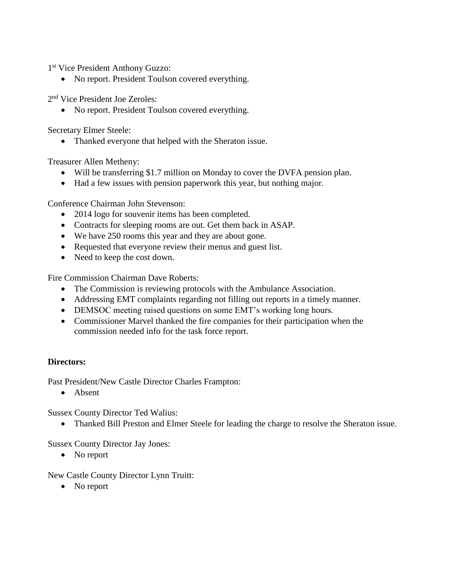1 st Vice President Anthony Guzzo:

• No report. President Toulson covered everything.

2 nd Vice President Joe Zeroles:

• No report. President Toulson covered everything.

Secretary Elmer Steele:

• Thanked everyone that helped with the Sheraton issue.

Treasurer Allen Metheny:

- Will be transferring \$1.7 million on Monday to cover the DVFA pension plan.
- Had a few issues with pension paperwork this year, but nothing major.

Conference Chairman John Stevenson:

- 2014 logo for souvenir items has been completed.
- Contracts for sleeping rooms are out. Get them back in ASAP.
- We have 250 rooms this year and they are about gone.
- Requested that everyone review their menus and guest list.
- Need to keep the cost down.

Fire Commission Chairman Dave Roberts:

- The Commission is reviewing protocols with the Ambulance Association.
- Addressing EMT complaints regarding not filling out reports in a timely manner.
- DEMSOC meeting raised questions on some EMT's working long hours.
- Commissioner Marvel thanked the fire companies for their participation when the commission needed info for the task force report.

### **Directors:**

Past President/New Castle Director Charles Frampton:

Absent

Sussex County Director Ted Walius:

Thanked Bill Preston and Elmer Steele for leading the charge to resolve the Sheraton issue.

Sussex County Director Jay Jones:

• No report

New Castle County Director Lynn Truitt:

• No report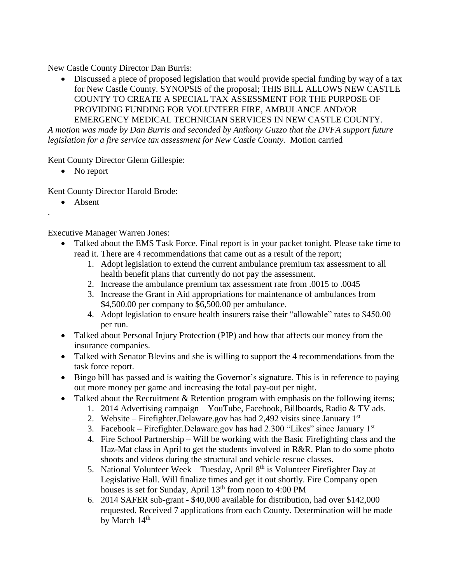New Castle County Director Dan Burris:

 Discussed a piece of proposed legislation that would provide special funding by way of a tax for New Castle County. SYNOPSIS of the proposal; THIS BILL ALLOWS NEW CASTLE COUNTY TO CREATE A SPECIAL TAX ASSESSMENT FOR THE PURPOSE OF PROVIDING FUNDING FOR VOLUNTEER FIRE, AMBULANCE AND/OR EMERGENCY MEDICAL TECHNICIAN SERVICES IN NEW CASTLE COUNTY.

*A motion was made by Dan Burris and seconded by Anthony Guzzo that the DVFA support future legislation for a fire service tax assessment for New Castle County.* Motion carried

Kent County Director Glenn Gillespie:

• No report

Kent County Director Harold Brode:

• Absent

.

Executive Manager Warren Jones:

- Talked about the EMS Task Force. Final report is in your packet tonight. Please take time to read it. There are 4 recommendations that came out as a result of the report;
	- 1. Adopt legislation to extend the current ambulance premium tax assessment to all health benefit plans that currently do not pay the assessment.
	- 2. Increase the ambulance premium tax assessment rate from .0015 to .0045
	- 3. Increase the Grant in Aid appropriations for maintenance of ambulances from \$4,500.00 per company to \$6,500.00 per ambulance.
	- 4. Adopt legislation to ensure health insurers raise their "allowable" rates to \$450.00 per run.
- Talked about Personal Injury Protection (PIP) and how that affects our money from the insurance companies.
- Talked with Senator Blevins and she is willing to support the 4 recommendations from the task force report.
- Bingo bill has passed and is waiting the Governor's signature. This is in reference to paying out more money per game and increasing the total pay-out per night.
- Talked about the Recruitment & Retention program with emphasis on the following items;
	- 1. 2014 Advertising campaign YouTube, Facebook, Billboards, Radio & TV ads.
	- 2. Website Firefighter. Delaware. gov has had  $2,492$  visits since January 1st
	- 3. Facebook Firefighter. Delaware.gov has had  $2.300$  "Likes" since January 1st
	- 4. Fire School Partnership Will be working with the Basic Firefighting class and the Haz-Mat class in April to get the students involved in R&R. Plan to do some photo shoots and videos during the structural and vehicle rescue classes.
	- 5. National Volunteer Week Tuesday, April  $8<sup>th</sup>$  is Volunteer Firefighter Day at Legislative Hall. Will finalize times and get it out shortly. Fire Company open houses is set for Sunday, April 13<sup>th</sup> from noon to 4:00 PM
	- 6. 2014 SAFER sub-grant \$40,000 available for distribution, had over \$142,000 requested. Received 7 applications from each County. Determination will be made by March  $14<sup>th</sup>$